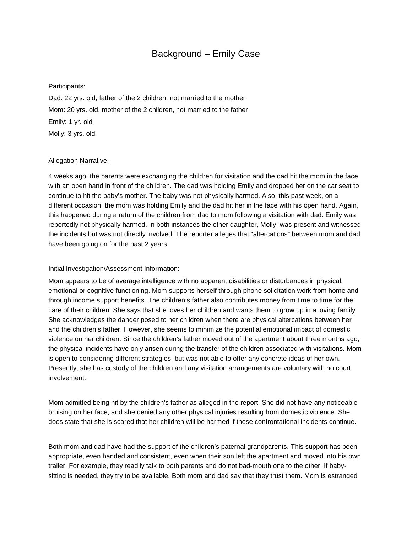## Background – Emily Case

## Participants:

Dad: 22 yrs. old, father of the 2 children, not married to the mother Mom: 20 yrs. old, mother of the 2 children, not married to the father Emily: 1 yr. old Molly: 3 yrs. old

## Allegation Narrative:

4 weeks ago, the parents were exchanging the children for visitation and the dad hit the mom in the face with an open hand in front of the children. The dad was holding Emily and dropped her on the car seat to continue to hit the baby's mother. The baby was not physically harmed. Also, this past week, on a different occasion, the mom was holding Emily and the dad hit her in the face with his open hand. Again, this happened during a return of the children from dad to mom following a visitation with dad. Emily was reportedly not physically harmed. In both instances the other daughter, Molly, was present and witnessed the incidents but was not directly involved. The reporter alleges that "altercations" between mom and dad have been going on for the past 2 years.

## Initial Investigation/Assessment Information:

Mom appears to be of average intelligence with no apparent disabilities or disturbances in physical, emotional or cognitive functioning. Mom supports herself through phone solicitation work from home and through income support benefits. The children's father also contributes money from time to time for the care of their children. She says that she loves her children and wants them to grow up in a loving family. She acknowledges the danger posed to her children when there are physical altercations between her and the children's father. However, she seems to minimize the potential emotional impact of domestic violence on her children. Since the children's father moved out of the apartment about three months ago, the physical incidents have only arisen during the transfer of the children associated with visitations. Mom is open to considering different strategies, but was not able to offer any concrete ideas of her own. Presently, she has custody of the children and any visitation arrangements are voluntary with no court involvement.

Mom admitted being hit by the children's father as alleged in the report. She did not have any noticeable bruising on her face, and she denied any other physical injuries resulting from domestic violence. She does state that she is scared that her children will be harmed if these confrontational incidents continue.

Both mom and dad have had the support of the children's paternal grandparents. This support has been appropriate, even handed and consistent, even when their son left the apartment and moved into his own trailer. For example, they readily talk to both parents and do not bad-mouth one to the other. If babysitting is needed, they try to be available. Both mom and dad say that they trust them. Mom is estranged